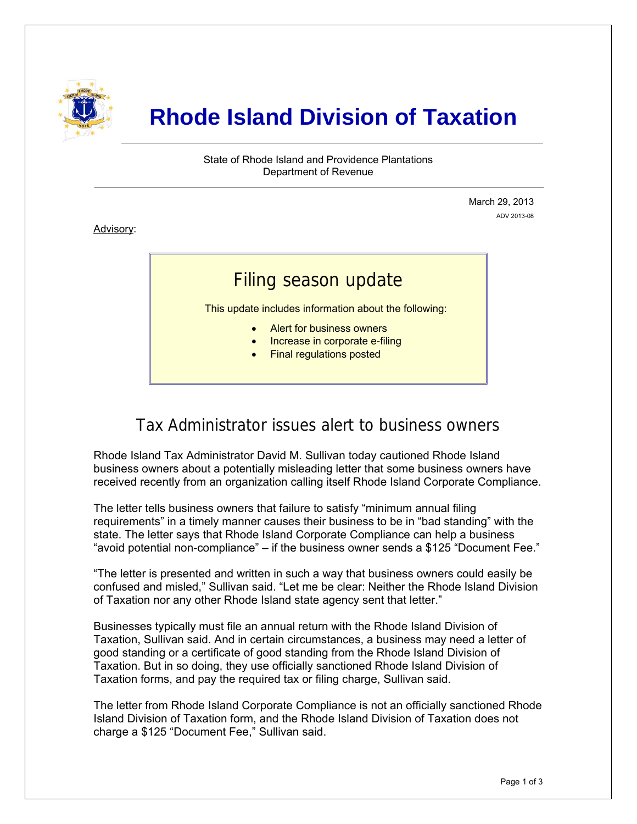

# **Rhode Island Division of Taxation**

State of Rhode Island and Providence Plantations Department of Revenue

> March 29, 2013 ADV 2013-08

Advisory:

i

## Filing season update

This update includes information about the following:

- Alert for business owners
- Increase in corporate e-filing
- Final regulations posted

### Tax Administrator issues alert to business owners

Rhode Island Tax Administrator David M. Sullivan today cautioned Rhode Island business owners about a potentially misleading letter that some business owners have received recently from an organization calling itself Rhode Island Corporate Compliance.

The letter tells business owners that failure to satisfy "minimum annual filing requirements" in a timely manner causes their business to be in "bad standing" with the state. The letter says that Rhode Island Corporate Compliance can help a business "avoid potential non-compliance" – if the business owner sends a \$125 "Document Fee."

"The letter is presented and written in such a way that business owners could easily be confused and misled," Sullivan said. "Let me be clear: Neither the Rhode Island Division of Taxation nor any other Rhode Island state agency sent that letter."

Businesses typically must file an annual return with the Rhode Island Division of Taxation, Sullivan said. And in certain circumstances, a business may need a letter of good standing or a certificate of good standing from the Rhode Island Division of Taxation. But in so doing, they use officially sanctioned Rhode Island Division of Taxation forms, and pay the required tax or filing charge, Sullivan said.

The letter from Rhode Island Corporate Compliance is not an officially sanctioned Rhode Island Division of Taxation form, and the Rhode Island Division of Taxation does not charge a \$125 "Document Fee," Sullivan said.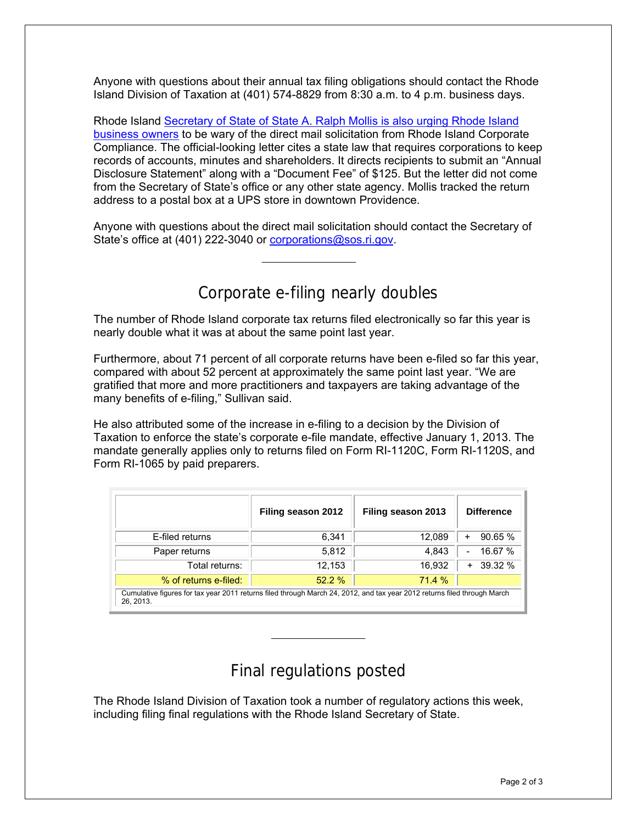Anyone with questions about their annual tax filing obligations should contact the Rhode Island Division of Taxation at (401) 574-8829 from 8:30 a.m. to 4 p.m. business days.

Rhode Island [Secretary of State of State A. Ralph Mollis is also urging Rhode Island](http://www.ri.gov/press/view/18669)  [business owners](http://www.ri.gov/press/view/18669) to be wary of the direct mail solicitation from Rhode Island Corporate Compliance. The official-looking letter cites a state law that requires corporations to keep records of accounts, minutes and shareholders. It directs recipients to submit an "Annual Disclosure Statement" along with a "Document Fee" of \$125. But the letter did not come from the Secretary of State's office or any other state agency. Mollis tracked the return address to a postal box at a UPS store in downtown Providence.

Anyone with questions about the direct mail solicitation should contact the Secretary of State's office at (401) 222-3040 or [corporations@sos.ri.gov](mailto:corporations@sos.ri.gov).

#### Corporate e-filing nearly doubles

The number of Rhode Island corporate tax returns filed electronically so far this year is nearly double what it was at about the same point last year.

Furthermore, about 71 percent of all corporate returns have been e-filed so far this year, compared with about 52 percent at approximately the same point last year. "We are gratified that more and more practitioners and taxpayers are taking advantage of the many benefits of e-filing," Sullivan said.

He also attributed some of the increase in e-filing to a decision by the Division of Taxation to enforce the state's corporate e-file mandate, effective January 1, 2013. The mandate generally applies only to returns filed on Form RI-1120C, Form RI-1120S, and Form RI-1065 by paid preparers.

|                                                                                                                                       | Filing season 2012 | Filing season 2013 | <b>Difference</b>         |
|---------------------------------------------------------------------------------------------------------------------------------------|--------------------|--------------------|---------------------------|
| E-filed returns                                                                                                                       | 6.341              | 12,089             | 90.65%<br>+               |
| Paper returns                                                                                                                         | 5,812              | 4,843              | 16.67 %<br>$\blacksquare$ |
| Total returns:                                                                                                                        | 12,153             | 16,932             | 39.32 %<br>$+$            |
| % of returns e-filed:                                                                                                                 | 52.2%              | 71.4 %             |                           |
| Cumulative figures for tax year 2011 returns filed through March 24, 2012, and tax year 2012 returns filed through March<br>26, 2013. |                    |                    |                           |

#### Final regulations posted

The Rhode Island Division of Taxation took a number of regulatory actions this week, including filing final regulations with the Rhode Island Secretary of State.